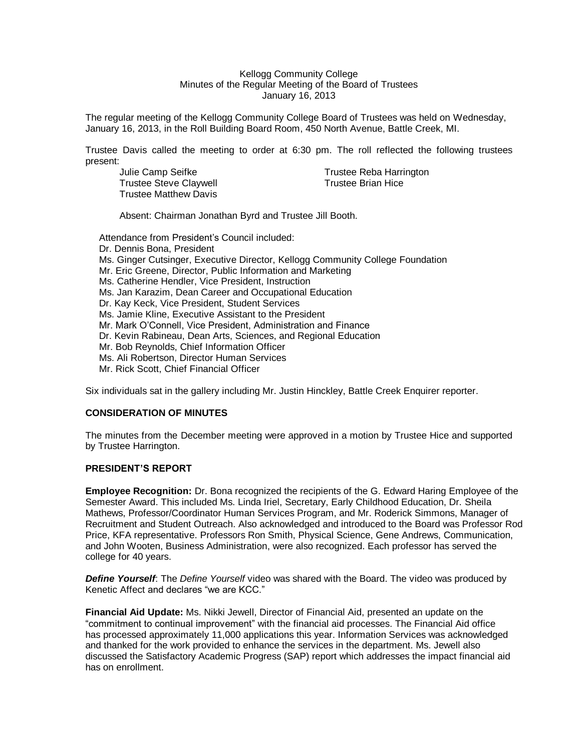### Kellogg Community College Minutes of the Regular Meeting of the Board of Trustees January 16, 2013

The regular meeting of the Kellogg Community College Board of Trustees was held on Wednesday, January 16, 2013, in the Roll Building Board Room, 450 North Avenue, Battle Creek, MI.

Trustee Davis called the meeting to order at 6:30 pm. The roll reflected the following trustees present:

| Julie Camp Seifke      |
|------------------------|
| Trustee Steve Claywell |
| Trustee Matthew Davis  |

Trustee Reba Harrington Trustee Brian Hice

Absent: Chairman Jonathan Byrd and Trustee Jill Booth.

Attendance from President's Council included: Dr. Dennis Bona, President Ms. Ginger Cutsinger, Executive Director, Kellogg Community College Foundation Mr. Eric Greene, Director, Public Information and Marketing Ms. Catherine Hendler, Vice President, Instruction Ms. Jan Karazim, Dean Career and Occupational Education Dr. Kay Keck, Vice President, Student Services Ms. Jamie Kline, Executive Assistant to the President Mr. Mark O'Connell, Vice President, Administration and Finance Dr. Kevin Rabineau, Dean Arts, Sciences, and Regional Education Mr. Bob Reynolds, Chief Information Officer Ms. Ali Robertson, Director Human Services Mr. Rick Scott, Chief Financial Officer

Six individuals sat in the gallery including Mr. Justin Hinckley, Battle Creek Enquirer reporter.

# **CONSIDERATION OF MINUTES**

The minutes from the December meeting were approved in a motion by Trustee Hice and supported by Trustee Harrington.

## **PRESIDENT'S REPORT**

**Employee Recognition:** Dr. Bona recognized the recipients of the G. Edward Haring Employee of the Semester Award. This included Ms. Linda Iriel, Secretary, Early Childhood Education, Dr. Sheila Mathews, Professor/Coordinator Human Services Program, and Mr. Roderick Simmons, Manager of Recruitment and Student Outreach. Also acknowledged and introduced to the Board was Professor Rod Price, KFA representative. Professors Ron Smith, Physical Science, Gene Andrews, Communication, and John Wooten, Business Administration, were also recognized. Each professor has served the college for 40 years.

*Define Yourself*: The *Define Yourself* video was shared with the Board. The video was produced by Kenetic Affect and declares "we are KCC."

**Financial Aid Update:** Ms. Nikki Jewell, Director of Financial Aid, presented an update on the "commitment to continual improvement" with the financial aid processes. The Financial Aid office has processed approximately 11,000 applications this year. Information Services was acknowledged and thanked for the work provided to enhance the services in the department. Ms. Jewell also discussed the Satisfactory Academic Progress (SAP) report which addresses the impact financial aid has on enrollment.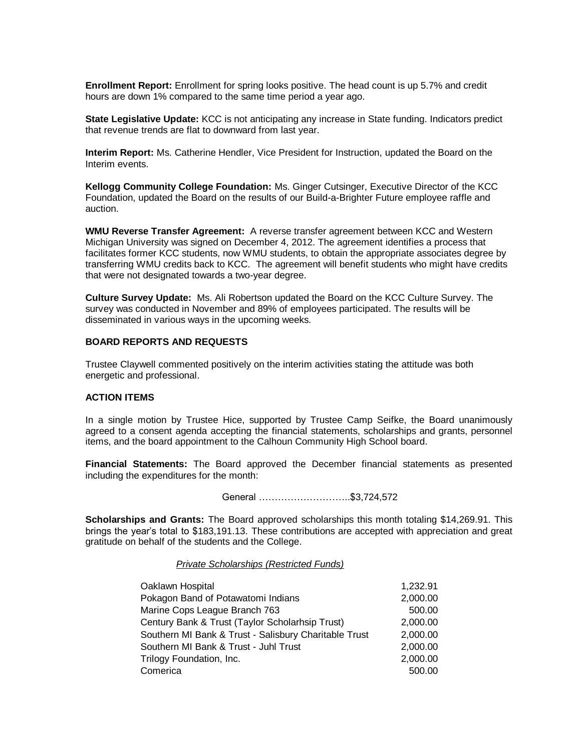**Enrollment Report:** Enrollment for spring looks positive. The head count is up 5.7% and credit hours are down 1% compared to the same time period a year ago.

**State Legislative Update:** KCC is not anticipating any increase in State funding. Indicators predict that revenue trends are flat to downward from last year.

**Interim Report:** Ms. Catherine Hendler, Vice President for Instruction, updated the Board on the Interim events.

**Kellogg Community College Foundation:** Ms. Ginger Cutsinger, Executive Director of the KCC Foundation, updated the Board on the results of our Build-a-Brighter Future employee raffle and auction.

**WMU Reverse Transfer Agreement:** A reverse transfer agreement between KCC and Western Michigan University was signed on December 4, 2012. The agreement identifies a process that facilitates former KCC students, now WMU students, to obtain the appropriate associates degree by transferring WMU credits back to KCC. The agreement will benefit students who might have credits that were not designated towards a two-year degree.

**Culture Survey Update:** Ms. Ali Robertson updated the Board on the KCC Culture Survey. The survey was conducted in November and 89% of employees participated. The results will be disseminated in various ways in the upcoming weeks.

# **BOARD REPORTS AND REQUESTS**

Trustee Claywell commented positively on the interim activities stating the attitude was both energetic and professional.

# **ACTION ITEMS**

In a single motion by Trustee Hice, supported by Trustee Camp Seifke, the Board unanimously agreed to a consent agenda accepting the financial statements, scholarships and grants, personnel items, and the board appointment to the Calhoun Community High School board.

**Financial Statements:** The Board approved the December financial statements as presented including the expenditures for the month:

General ………………………..\$3,724,572

**Scholarships and Grants:** The Board approved scholarships this month totaling \$14,269.91. This brings the year's total to \$183,191.13. These contributions are accepted with appreciation and great gratitude on behalf of the students and the College.

### *Private Scholarships (Restricted Funds)*

| Oaklawn Hospital                                      | 1,232.91 |
|-------------------------------------------------------|----------|
| Pokagon Band of Potawatomi Indians                    | 2,000.00 |
| Marine Cops League Branch 763                         | 500.00   |
| Century Bank & Trust (Taylor Scholarhsip Trust)       | 2,000.00 |
| Southern MI Bank & Trust - Salisbury Charitable Trust | 2,000.00 |
| Southern MI Bank & Trust - Juhl Trust                 | 2,000.00 |
| Trilogy Foundation, Inc.                              | 2,000.00 |
| Comerica                                              | 500.00   |
|                                                       |          |